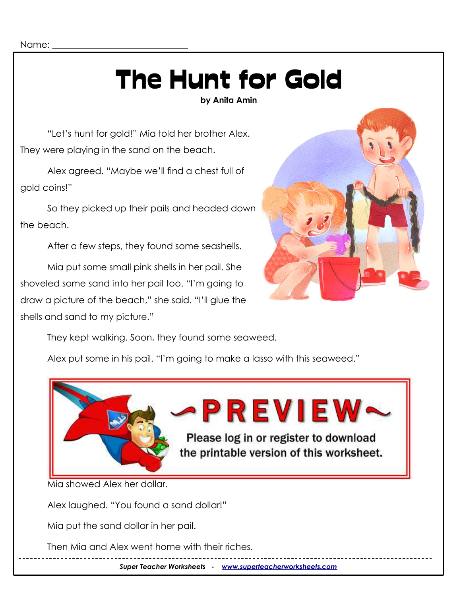Name:

# The Hunt for Gold

**by Anita Amin**

"Let's hunt for gold!" Mia told her brother Alex. They were playing in the sand on the beach.

Alex agreed. "Maybe we'll find a chest full of gold coins!"

So they picked up their pails and headed down the beach.

After a few steps, they found some seashells.

Mia put some small pink shells in her pail. She shoveled some sand into her pail too. "I'm going to draw a picture of the beach," she said. "I'll glue the shells and sand to my picture."



They kept walking. Soon, they found some seaweed.

Alex put some in his pail. "I'm going to make a lasso with this seaweed."



Alex laughed. "You found a sand dollar!"

Mia put the sand dollar in her pail.

Then Mia and Alex went home with their riches.

*Super Teacher Worksheets - [www.superteacherworksheets.com](http://www.superteacherworksheets.com/)*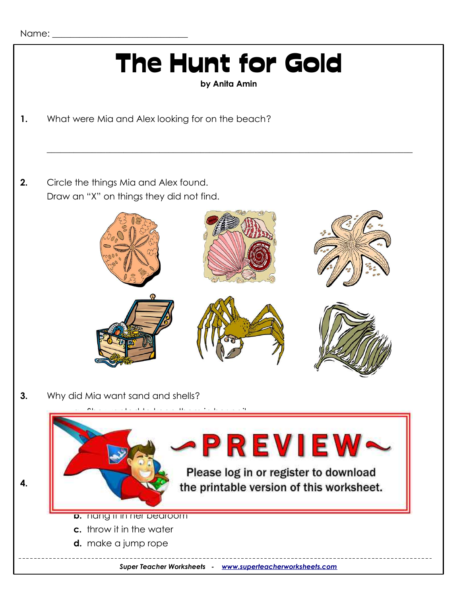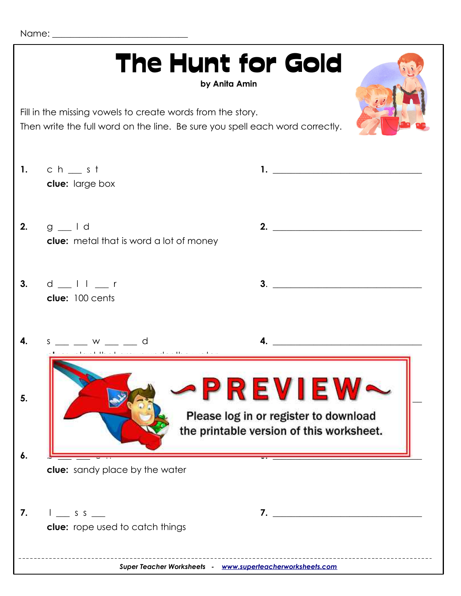Name:  $\Box$ 

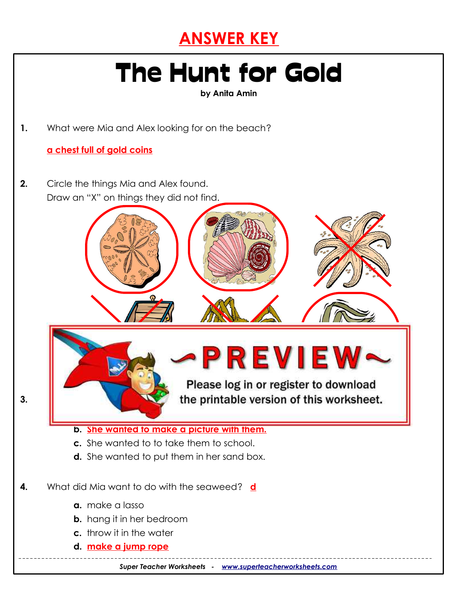

## The Hunt for Gold

**by Anita Amin**

**1.** What were Mia and Alex looking for on the beach?

#### **a chest full of gold coins**

**2.** Circle the things Mia and Alex found. Draw an "X" on things they did not find.



#### **b. She wanted to make a picture with them.**

- **c.** She wanted to to take them to school.
- **d.** She wanted to put them in her sand box.
- **4.** What did Mia want to do with the seaweed? **d**
	- **a.** make a lasso
	- **b.** hang it in her bedroom
	- **c.** throw it in the water
	- **d. make a jump rope**

*Super Teacher Worksheets - [www.superteacherworksheets.com](http://www.superteacherworksheets.com/)*